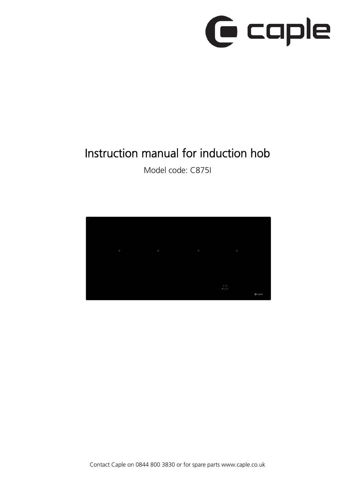# **G** caple

# Instruction manual for induction hob

Model code: C875I

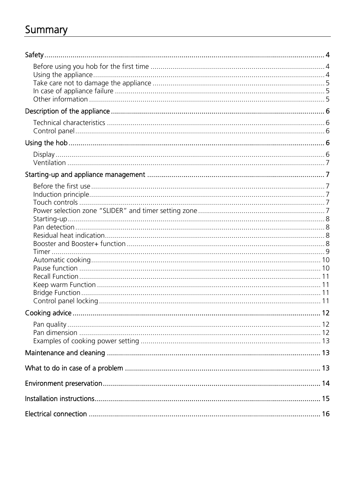# Summary

| Cooking advice<br>12 |  |
|----------------------|--|
|                      |  |
|                      |  |
|                      |  |
|                      |  |
|                      |  |
|                      |  |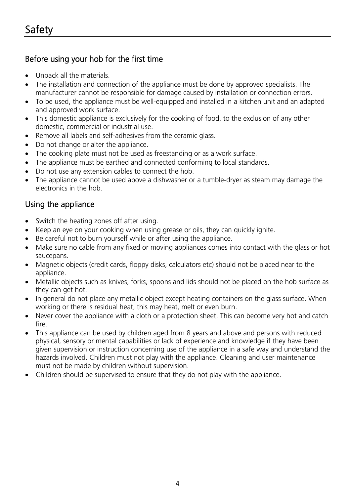### Before using your hob for the first time

- Unpack all the materials.
- The installation and connection of the appliance must be done by approved specialists. The manufacturer cannot be responsible for damage caused by installation or connection errors.
- To be used, the appliance must be well-equipped and installed in a kitchen unit and an adapted and approved work surface.
- This domestic appliance is exclusively for the cooking of food, to the exclusion of any other domestic, commercial or industrial use.
- Remove all labels and self-adhesives from the ceramic glass.
- Do not change or alter the appliance.
- The cooking plate must not be used as freestanding or as a work surface.
- The appliance must be earthed and connected conforming to local standards.
- Do not use any extension cables to connect the hob.
- The appliance cannot be used above a dishwasher or a tumble-dryer as steam may damage the electronics in the hob.

### Using the appliance

- Switch the heating zones off after using.
- Keep an eye on your cooking when using grease or oils, they can quickly ignite.
- Be careful not to burn yourself while or after using the appliance.
- Make sure no cable from any fixed or moving appliances comes into contact with the glass or hot saucepans.
- Magnetic objects (credit cards, floppy disks, calculators etc) should not be placed near to the appliance.
- Metallic objects such as knives, forks, spoons and lids should not be placed on the hob surface as they can get hot.
- In general do not place any metallic object except heating containers on the glass surface. When working or there is residual heat, this may heat, melt or even burn.
- Never cover the appliance with a cloth or a protection sheet. This can become very hot and catch fire.
- This appliance can be used by children aged from 8 years and above and persons with reduced physical, sensory or mental capabilities or lack of experience and knowledge if they have been given supervision or instruction concerning use of the appliance in a safe way and understand the hazards involved. Children must not play with the appliance. Cleaning and user maintenance must not be made by children without supervision.
- Children should be supervised to ensure that they do not play with the appliance.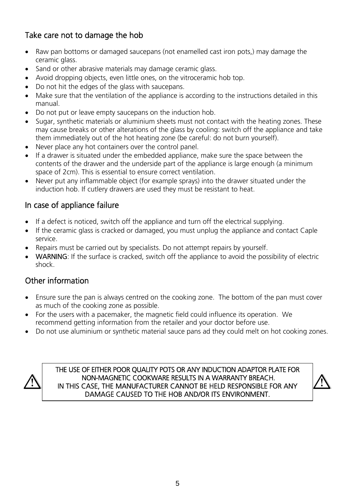### Take care not to damage the hob

- Raw pan bottoms or damaged saucepans (not enamelled cast iron pots,) may damage the ceramic glass.
- Sand or other abrasive materials may damage ceramic glass.
- Avoid dropping objects, even little ones, on the vitroceramic hob top.
- Do not hit the edges of the glass with saucepans.
- Make sure that the ventilation of the appliance is according to the instructions detailed in this manual.
- Do not put or leave empty saucepans on the induction hob.
- Sugar, synthetic materials or aluminium sheets must not contact with the heating zones. These may cause breaks or other alterations of the glass by cooling: switch off the appliance and take them immediately out of the hot heating zone (be careful: do not burn yourself).
- Never place any hot containers over the control panel.
- If a drawer is situated under the embedded appliance, make sure the space between the contents of the drawer and the underside part of the appliance is large enough (a minimum space of 2cm). This is essential to ensure correct ventilation.
- Never put any inflammable object (for example sprays) into the drawer situated under the induction hob. If cutlery drawers are used they must be resistant to heat.

### In case of appliance failure

- If a defect is noticed, switch off the appliance and turn off the electrical supplying.
- If the ceramic glass is cracked or damaged, you must unplug the appliance and contact Caple service.
- Repairs must be carried out by specialists. Do not attempt repairs by yourself.
- WARNING: If the surface is cracked, switch off the appliance to avoid the possibility of electric shock.

### Other information

- Ensure sure the pan is always centred on the cooking zone. The bottom of the pan must cover as much of the cooking zone as possible.
- For the users with a pacemaker, the magnetic field could influence its operation. We recommend getting information from the retailer and your doctor before use.
- Do not use aluminium or synthetic material sauce pans ad they could melt on hot cooking zones.



THE USE OF EITHER POOR QUALITY POTS OR ANY INDUCTION ADAPTOR PLATE FOR NON-MAGNETIC COOKWARE RESULTS IN A WARRANTY BREACH. IN THIS CASE, THE MANUFACTURER CANNOT BE HELD RESPONSIBLE FOR ANY DAMAGE CAUSED TO THE HOB AND/OR ITS ENVIRONMENT.

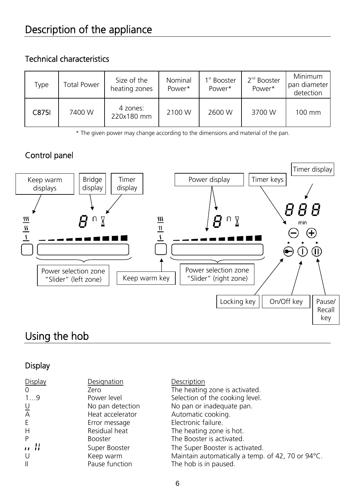### Technical characteristics

| Type         | <b>Total Power</b> | Size of the<br>heating zones | Nominal<br>Power* | 1 <sup>st</sup> Booster<br>Power* | 2 <sup>nd</sup> Booster<br>Power* | Minimum<br>pan diameter<br>detection |
|--------------|--------------------|------------------------------|-------------------|-----------------------------------|-----------------------------------|--------------------------------------|
| <b>C875I</b> | 7400 W             | 4 zones:<br>220x180 mm       | 2100 W            | 2600 W                            | 3700 W                            | 100 mm                               |

\* The given power may change according to the dimensions and material of the pan.

### Control panel



# Using the hob

### **Display**

| <b>Display</b> | Designation      | Description                                       |
|----------------|------------------|---------------------------------------------------|
| 0              | Zero             | The heating zone is activated.                    |
| 19             | Power level      | Selection of the cooking level.                   |
|                | No pan detection | No pan or inadequate pan.                         |
| U<br>A         | Heat accelerator | Automatic cooking.                                |
| E              | Error message    | Electronic failure.                               |
| Η              | Residual heat    | The heating zone is hot.                          |
| P              | <b>Booster</b>   | The Booster is activated.                         |
| ,, ;;          | Super Booster    | The Super Booster is activated.                   |
| U              | Keep warm        | Maintain automatically a temp. of 42, 70 or 94°C. |
| $\mathbf{II}$  | Pause function   | The hob is in paused.                             |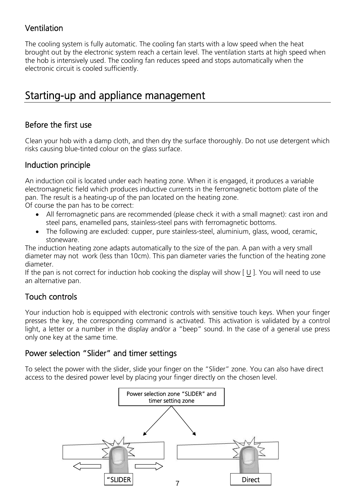### Ventilation

The cooling system is fully automatic. The cooling fan starts with a low speed when the heat brought out by the electronic system reach a certain level. The ventilation starts at high speed when the hob is intensively used. The cooling fan reduces speed and stops automatically when the electronic circuit is cooled sufficiently.

## Starting-up and appliance management

### Before the first use

Clean your hob with a damp cloth, and then dry the surface thoroughly. Do not use detergent which risks causing blue-tinted colour on the glass surface.

### Induction principle

An induction coil is located under each heating zone. When it is engaged, it produces a variable electromagnetic field which produces inductive currents in the ferromagnetic bottom plate of the pan. The result is a heating-up of the pan located on the heating zone.

Of course the pan has to be correct:

- All ferromagnetic pans are recommended (please check it with a small magnet): cast iron and steel pans, enamelled pans, stainless-steel pans with ferromagnetic bottoms.
- The following are excluded: cupper, pure stainless-steel, aluminium, glass, wood, ceramic, stoneware.

The induction heating zone adapts automatically to the size of the pan. A pan with a very small diameter may not work (less than 10cm). This pan diameter varies the function of the heating zone diameter.

If the pan is not correct for induction hob cooking the display will show [ U ]. You will need to use an alternative pan.

### Touch controls

Your induction hob is equipped with electronic controls with sensitive touch keys. When your finger presses the key, the corresponding command is activated. This activation is validated by a control light, a letter or a number in the display and/or a "beep" sound. In the case of a general use press only one key at the same time.

### Power selection "Slider" and timer settings

To select the power with the slider, slide your finger on the "Slider" zone. You can also have direct access to the desired power level by placing your finger directly on the chosen level.

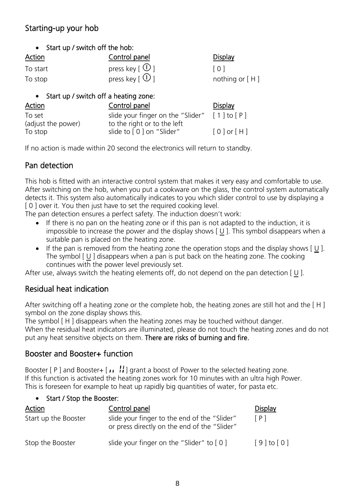### Starting-up your hob

|  |  |  |  | Start up / switch off the hob: |  |
|--|--|--|--|--------------------------------|--|
|--|--|--|--|--------------------------------|--|

| <b>Action</b> | Control panel                         | <b>Display</b>   |
|---------------|---------------------------------------|------------------|
| To start      | press key [ $\odot$ ]                 | $\lceil$ 0 1     |
| To stop       | press key $\lceil \text{O} \rceil$    | nothing or $[H]$ |
|               | Start up / switch off a heating zone: |                  |

| Action             | Control panel                                                            | <b>Display</b> |
|--------------------|--------------------------------------------------------------------------|----------------|
| To set             | slide your finger on the "Slider" $\lceil 1 \rceil$ to $\lceil P \rceil$ |                |
| (adjust the power) | to the right or to the left                                              |                |
| To stop            | slide to [0] on "Slider"                                                 | $[0]$ or $[H]$ |

If no action is made within 20 second the electronics will return to standby.

### Pan detection

This hob is fitted with an interactive control system that makes it very easy and comfortable to use. After switching on the hob, when you put a cookware on the glass, the control system automatically detects it. This system also automatically indicates to you which slider control to use by displaying a [ 0 ] over it. You then just have to set the required cooking level.

The pan detection ensures a perfect safety. The induction doesn't work:

- If there is no pan on the heating zone or if this pan is not adapted to the induction, it is impossible to increase the power and the display shows [ U ]. This symbol disappears when a suitable pan is placed on the heating zone.
- If the pan is removed from the heating zone the operation stops and the display shows  $[U]$ . The symbol  $\Box$  I disappears when a pan is put back on the heating zone. The cooking continues with the power level previously set.

After use, always switch the heating elements off, do not depend on the pan detection  $[U]$ .

### Residual heat indication

After switching off a heating zone or the complete hob, the heating zones are still hot and the [ H ] symbol on the zone display shows this.

The symbol [ H ] disappears when the heating zones may be touched without danger.

When the residual heat indicators are illuminated, please do not touch the heating zones and do not put any heat sensitive objects on them. There are risks of burning and fire.

### Booster and Booster+ function

Booster  $[ P ]$  and Booster+  $[II]$  grant a boost of Power to the selected heating zone. If this function is activated the heating zones work for 10 minutes with an ultra high Power. This is foreseen for example to heat up rapidly big quantities of water, for pasta etc.

### Start / Stop the Booster:

| <b>Action</b>        | Control panel                                                                                | <b>Display</b> |
|----------------------|----------------------------------------------------------------------------------------------|----------------|
| Start up the Booster | slide your finger to the end of the "Slider"<br>or press directly on the end of the "Slider" | [ P ]          |
| Stop the Booster     | slide your finger on the "Slider" to $[0]$                                                   | $[9]$ to $[0]$ |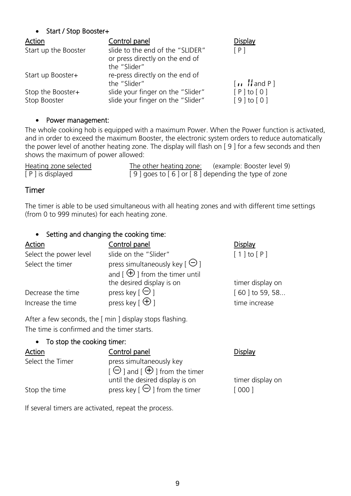### Start / Stop Booster+

| Action                            | Control panel                                                                       | <b>Display</b>                                          |
|-----------------------------------|-------------------------------------------------------------------------------------|---------------------------------------------------------|
| Start up the Booster              | slide to the end of the "SLIDER"<br>or press directly on the end of<br>the "Slider" | [P]                                                     |
| Start up Booster+                 | re-press directly on the end of<br>the "Slider"                                     | $\lceil \cdot \cdot \rceil$ and P $\lceil \cdot \rceil$ |
| Stop the Booster+<br>Stop Booster | slide your finger on the "Slider"<br>slide your finger on the "Slider"              | [P to[0]<br>$[9]$ to $[0]$                              |

### • Power management:

The whole cooking hob is equipped with a maximum Power. When the Power function is activated, and in order to exceed the maximum Booster, the electronic system orders to reduce automatically the power level of another heating zone. The display will flash on [ 9 ] for a few seconds and then shows the maximum of power allowed:

| Heating zone selected | The other heating zone: | (example: Booster level 9)                        |
|-----------------------|-------------------------|---------------------------------------------------|
| [ P ] is displayed    |                         | [9] goes to [6] or [8] depending the type of zone |

### Timer

The timer is able to be used simultaneous with all heating zones and with different time settings (from 0 to 999 minutes) for each heating zone.

### • Setting and changing the cooking time:

| Action                                 | Control panel                                                                                         | <b>Display</b>                         |
|----------------------------------------|-------------------------------------------------------------------------------------------------------|----------------------------------------|
| Select the power level                 | slide on the "Slider"                                                                                 | $\lceil 1 \rceil$ to $\lceil P \rceil$ |
| Select the timer                       | press simultaneously key $\lceil \Theta \rceil$<br>and $\lceil \bigoplus \rceil$ from the timer until |                                        |
|                                        | the desired display is on                                                                             | timer display on                       |
| Decrease the time<br>Increase the time | press key [ $\Theta$ ]<br>press key $\lceil \bigoplus \rceil$                                         | [60] to 59, 58<br>time increase        |
|                                        |                                                                                                       |                                        |

After a few seconds, the [ min ] display stops flashing. The time is confirmed and the timer starts.

### • To stop the cooking timer:

| Action           | Control panel                                                                                 | <b>Display</b>   |
|------------------|-----------------------------------------------------------------------------------------------|------------------|
| Select the Timer | press simultaneously key<br>$\Box$ and $\Box$ and $\Box$ and $\Box$ and $\Box$ from the timer |                  |
|                  | until the desired display is on                                                               | timer display on |
| Stop the time    | press key $\lceil \Theta \rceil$ from the timer                                               | [000]            |

If several timers are activated, repeat the process.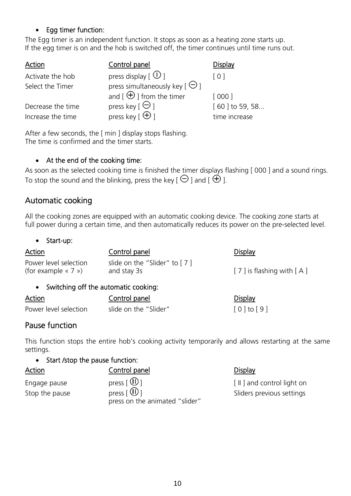### • Egg timer function:

The Egg timer is an independent function. It stops as soon as a heating zone starts up. If the egg timer is on and the hob is switched off, the timer continues until time runs out.

| Action            | Control panel                                       | <b>Display</b>                         |
|-------------------|-----------------------------------------------------|----------------------------------------|
| Activate the hob  | press display $\lceil$ $\circlearrowright$ $\rceil$ | $\begin{bmatrix} 0 \\ 1 \end{bmatrix}$ |
| Select the Timer  | press simultaneously key $\lceil \Theta \rceil$     |                                        |
|                   | and $\lceil \bigoplus \rceil$ from the timer        | [ 000 ]                                |
| Decrease the time | press key $\lbrack \Theta \rbrack$                  | [60] to 59, 58                         |
| Increase the time | press key [ $\bigoplus$ ]                           | time increase                          |

After a few seconds, the [ min ] display stops flashing. The time is confirmed and the timer starts.

### At the end of the cooking time:

As soon as the selected cooking time is finished the timer displays flashing [ 000 ] and a sound rings. To stop the sound and the blinking, press the key [ $\Theta$ ] and  $\tilde{\Theta}$ ].

### Automatic cooking

All the cooking zones are equipped with an automatic cooking device. The cooking zone starts at full power during a certain time, and then automatically reduces its power on the pre-selected level.

• Start-up:

| <b>Action</b>                                               | Control panel                                 | <b>Display</b>               |
|-------------------------------------------------------------|-----------------------------------------------|------------------------------|
| Power level selection<br>(for example $\langle 7 \rangle$ ) | slide on the "Slider" to $[7]$<br>and stay 3s | $[7]$ is flashing with $[A]$ |
| • Switching off the automatic cooking:                      |                                               |                              |
| Action                                                      | Control panel                                 | <b>Display</b>               |
| Power level selection                                       | slide on the "Slider"                         | $[0]$ to $[9]$               |

### Pause function

This function stops the entire hob's cooking activity temporarily and allows restarting at the same settings.

### • Start / stop the pause function:

| <b>Action</b>  | Control panel                    | <b>Display</b>            |
|----------------|----------------------------------|---------------------------|
| Engage pause   | press $\lceil \mathbf{w} \rceil$ | [II] and control light on |
| Stop the pause |                                  | Sliders previous settings |
|                | press on the animated "slider"   |                           |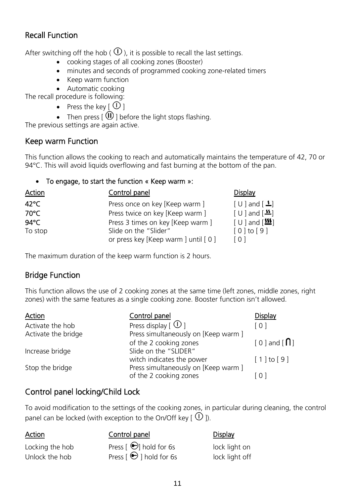### Recall Function

After switching off the hob ( $\Phi$ ), it is possible to recall the last settings.

- cooking stages of all cooking zones (Booster)
- minutes and seconds of programmed cooking zone-related timers
- Keep warm function
- Automatic cooking

The recall procedure is following:

- Press the key  $[$   $\mathbb{O}$   $]$
- Then press  $[$   $\widehat{w}$  ] before the light stops flashing.

The previous settings are again active.

### Keep warm Function

This function allows the cooking to reach and automatically maintains the temperature of 42, 70 or 94°C. This will avoid liquids overflowing and fast burning at the bottom of the pan.

### To engage, to start the function « Keep warm »:

| Action         | Control panel                         | <b>Display</b>                                        |
|----------------|---------------------------------------|-------------------------------------------------------|
| $42^{\circ}$ C | Press once on key [Keep warm ]        | $\lceil U \rceil$ and $\lceil \frac{1}{2} \rceil$     |
| 70°C           | Press twice on key [Keep warm ]       | $\lceil \cup \rceil$ and $\lceil \frac{15}{2} \rceil$ |
| $94^{\circ}$ C | Press 3 times on key [Keep warm ]     | $[U]$ and $[\frac{III}{II}]$                          |
| To stop        | Slide on the "Slider"                 | $\lceil 0 \rceil$ to $\lceil 9 \rceil$                |
|                | or press key [Keep warm ] until [ 0 ] | [0]                                                   |

The maximum duration of the keep warm function is 2 hours.

### Bridge Function

This function allows the use of 2 cooking zones at the same time (left zones, middle zones, right zones) with the same features as a single cooking zone. Booster function isn't allowed.

| Action              | Control panel                              | Display                                |
|---------------------|--------------------------------------------|----------------------------------------|
| Activate the hob    | Press display $\lceil$ $\bigcirc$ $\rceil$ | [0]                                    |
| Activate the bridge | Press simultaneously on [Keep warm ]       |                                        |
|                     | of the 2 cooking zones                     | $[0]$ and $[0]$                        |
| Increase bridge     | Slide on the "SLIDER"                      |                                        |
|                     | witch indicates the power                  | $\lceil 1 \rceil$ to $\lceil 9 \rceil$ |
| Stop the bridge     | Press simultaneously on [Keep warm ]       |                                        |
|                     | of the 2 cooking zones                     | $\overline{0}$                         |

### Control panel locking/Child Lock

To avoid modification to the settings of the cooking zones, in particular during cleaning, the control panel can be locked (with exception to the On/Off key  $[$   $\overline{0}$  ]).

### Action Control panel Display

- 
- Locking the hob Press  $\Theta$  hold for 6s Unlock the hob Press  $\Theta$  I hold for 6s lock light off

| lock light on  |  |
|----------------|--|
| lock light off |  |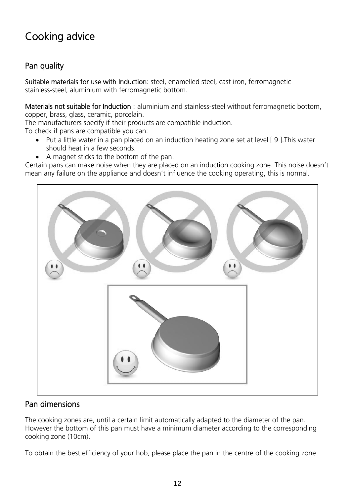# Cooking advice

### Pan quality

Suitable materials for use with Induction: steel, enamelled steel, cast iron, ferromagnetic stainless-steel, aluminium with ferromagnetic bottom.

Materials not suitable for Induction : aluminium and stainless-steel without ferromagnetic bottom, copper, brass, glass, ceramic, porcelain.

The manufacturers specify if their products are compatible induction.

To check if pans are compatible you can:

- Put a little water in a pan placed on an induction heating zone set at level [ 9 ].This water should heat in a few seconds.
- A magnet sticks to the bottom of the pan.

Certain pans can make noise when they are placed on an induction cooking zone. This noise doesn't mean any failure on the appliance and doesn't influence the cooking operating, this is normal.



### Pan dimensions

The cooking zones are, until a certain limit automatically adapted to the diameter of the pan. However the bottom of this pan must have a minimum diameter according to the corresponding cooking zone (10cm).

To obtain the best efficiency of your hob, please place the pan in the centre of the cooking zone.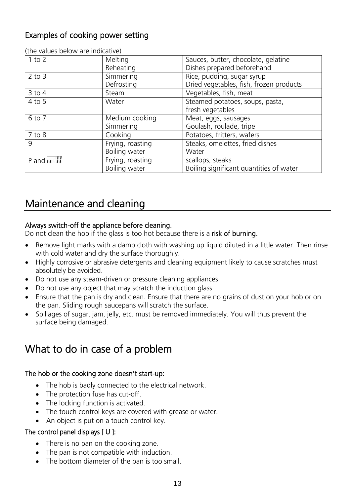### Examples of cooking power setting

| $1$ to $2$                 | Melting<br>Reheating              | Sauces, butter, chocolate, gelatine<br>Dishes prepared beforehand     |
|----------------------------|-----------------------------------|-----------------------------------------------------------------------|
| $2$ to $3$                 | Simmering<br>Defrosting           | Rice, pudding, sugar syrup<br>Dried vegetables, fish, frozen products |
| $3$ to $4$                 | Steam                             | Vegetables, fish, meat                                                |
| $4$ to 5                   | Water                             | Steamed potatoes, soups, pasta,<br>fresh vegetables                   |
| 6 to 7                     | Medium cooking<br>Simmering       | Meat, eggs, sausages<br>Goulash, roulade, tripe                       |
| 7 to 8                     | Cooking                           | Potatoes, fritters, wafers                                            |
| 9                          | Frying, roasting<br>Boiling water | Steaks, omelettes, fried dishes<br>Water                              |
| P and $\overrightarrow{H}$ | Frying, roasting<br>Boiling water | scallops, steaks<br>Boiling significant quantities of water           |

(the values below are indicative)

# Maintenance and cleaning

### Always switch-off the appliance before cleaning.

Do not clean the hob if the glass is too hot because there is a risk of burning.

- Remove light marks with a damp cloth with washing up liquid diluted in a little water. Then rinse with cold water and dry the surface thoroughly.
- Highly corrosive or abrasive detergents and cleaning equipment likely to cause scratches must absolutely be avoided.
- Do not use any steam-driven or pressure cleaning appliances.
- Do not use any object that may scratch the induction glass.
- Ensure that the pan is dry and clean. Ensure that there are no grains of dust on your hob or on the pan. Sliding rough saucepans will scratch the surface.
- Spillages of sugar, jam, jelly, etc. must be removed immediately. You will thus prevent the surface being damaged.

# What to do in case of a problem

### The hob or the cooking zone doesn't start-up:

- The hob is badly connected to the electrical network.
- The protection fuse has cut-off.
- The locking function is activated.
- The touch control keys are covered with grease or water.
- An object is put on a touch control key.

### The control panel displays [ U ]:

- There is no pan on the cooking zone.
- The pan is not compatible with induction.
- The bottom diameter of the pan is too small.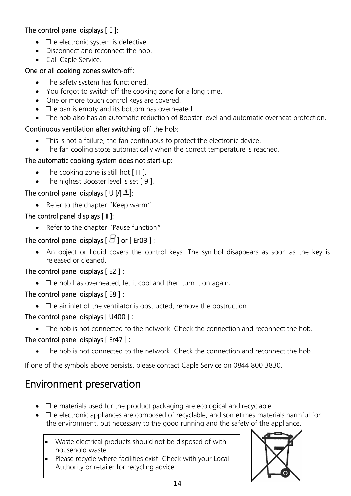### The control panel displays [ E ]:

- The electronic system is defective.
- Disconnect and reconnect the hob.
- Call Caple Service.

### One or all cooking zones switch-off:

- The safety system has functioned.
- You forgot to switch off the cooking zone for a long time.
- One or more touch control keys are covered.
- The pan is empty and its bottom has overheated.
- The hob also has an automatic reduction of Booster level and automatic overheat protection.

### Continuous ventilation after switching off the hob:

- This is not a failure, the fan continuous to protect the electronic device.
- The fan cooling stops automatically when the correct temperature is reached.

### The automatic cooking system does not start-up:

- The cooking zone is still hot [H].
- The highest Booster level is set [9].

### The control panel displays [ U  $\cancel{N}$   $\triangle$  ]:

• Refer to the chapter "Keep warm".

### The control panel displays [ II ]:

• Refer to the chapter "Pause function"

### The control panel displays  $\lbrack \overline{C} \rbrack$  or [ Er03 ] :

 An object or liquid covers the control keys. The symbol disappears as soon as the key is released or cleaned.

### The control panel displays [ E2 ] :

• The hob has overheated, let it cool and then turn it on again.

### The control panel displays [E8]:

• The air inlet of the ventilator is obstructed, remove the obstruction.

### The control panel displays [ U400 ] :

• The hob is not connected to the network. Check the connection and reconnect the hob.

### The control panel displays [ Er47 ] :

• The hob is not connected to the network. Check the connection and reconnect the hob.

If one of the symbols above persists, please contact Caple Service on 0844 800 3830.

# Environment preservation

- The materials used for the product packaging are ecological and recyclable.
- The electronic appliances are composed of recyclable, and sometimes materials harmful for the environment, but necessary to the good running and the safety of the appliance.
	- Waste electrical products should not be disposed of with household waste
	- Please recycle where facilities exist. Check with your Local Authority or retailer for recycling advice.

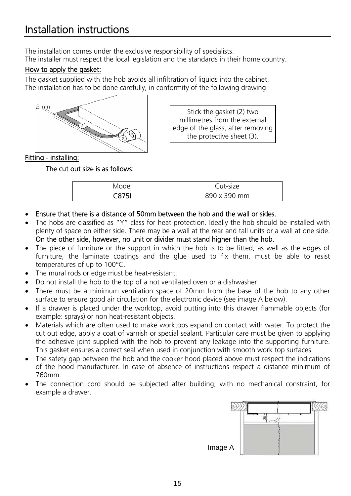# Installation instructions

The installation comes under the exclusive responsibility of specialists. The installer must respect the local legislation and the standards in their home country.

### How to apply the gasket:

The gasket supplied with the hob avoids all infiltration of liquids into the cabinet. The installation has to be done carefully, in conformity of the following drawing.



Stick the gasket (2) two millimetres from the external edge of the glass, after removing the protective sheet (3).

### Fitting - installing:

### The cut out size is as follows:

| Model | Cut-size     |  |
|-------|--------------|--|
| :875I | 890 x 390 mm |  |

- Ensure that there is a distance of 50mm between the hob and the wall or sides.
- The hobs are classified as "Y" class for heat protection. Ideally the hob should be installed with plenty of space on either side. There may be a wall at the rear and tall units or a wall at one side. On the other side, however, no unit or divider must stand higher than the hob.
- The piece of furniture or the support in which the hob is to be fitted, as well as the edges of furniture, the laminate coatings and the glue used to fix them, must be able to resist temperatures of up to 100°C.
- The mural rods or edge must be heat-resistant.
- Do not install the hob to the top of a not ventilated oven or a dishwasher.
- There must be a minimum ventilation space of 20mm from the base of the hob to any other surface to ensure good air circulation for the electronic device (see image A below).
- If a drawer is placed under the worktop, avoid putting into this drawer flammable objects (for example: sprays) or non heat-resistant objects.
- Materials which are often used to make worktops expand on contact with water. To protect the cut out edge, apply a coat of varnish or special sealant. Particular care must be given to applying the adhesive joint supplied with the hob to prevent any leakage into the supporting furniture. This gasket ensures a correct seal when used in conjunction with smooth work top surfaces.
- The safety gap between the hob and the cooker hood placed above must respect the indications of the hood manufacturer. In case of absence of instructions respect a distance minimum of 760mm.
- The connection cord should be subjected after building, with no mechanical constraint, for example a drawer.

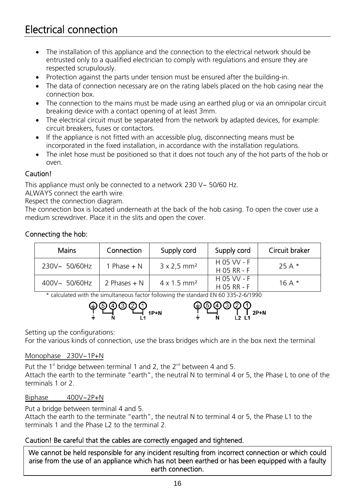- The installation of this appliance and the connection to the electrical network should be entrusted only to a qualified electrician to comply with regulations and ensure they are respected scrupulously.
- Protection against the parts under tension must be ensured after the building-in.
- The data of connection necessary are on the rating labels placed on the hob casing near the connection box.
- The connection to the mains must be made using an earthed plug or via an omnipolar circuit breaking device with a contact opening of at least 3mm.
- The electrical circuit must be separated from the network by adapted devices, for example: circuit breakers, fuses or contactors.
- If the appliance is not fitted with an accessible plug, disconnecting means must be incorporated in the fixed installation, in accordance with the installation regulations.
- The inlet hose must be positioned so that it does not touch any of the hot parts of the hob or oven.

### Caution!

This appliance must only be connected to a network 230 V~ 50/60 Hz.

ALWAYS connect the earth wire.

Respect the connection diagram.

The connection box is located underneath at the back of the hob casing. To open the cover use a medium screwdriver. Place it in the slits and open the cover.

### Connecting the hob:

| <b>Mains</b>  | Connection     | Supply cord                    | Supply cord                | Circuit braker |
|---------------|----------------|--------------------------------|----------------------------|----------------|
| 230V~ 50/60Hz | 1 Phase $+ N$  | $3 \times 2.5$ mm <sup>2</sup> | H 05 VV - F<br>H 05 RR - F | $25A*$         |
| 400V~ 50/60Hz | 2 Phases $+$ N | $4 \times 1.5$ mm <sup>2</sup> | H 05 VV - F<br>H 05 RR - F | 16 A $*$       |

\* calculated with the simultaneous factor following the standard EN 60 335-2-6/1990



Setting up the configurations:

For the various kinds of connection, use the brass bridges which are in the box next the terminal

### Monophase 230V~1P+N

Put the 1<sup>st</sup> bridge between terminal 1 and 2, the  $2^{nd}$  between 4 and 5. Attach the earth to the terminate "earth", the neutral N to terminal 4 or 5, the Phase L to one of the terminals 1 or 2.

### Biphase 400V~2P+N

Put a bridge between terminal 4 and 5.

Attach the earth to the terminate "earth", the neutral N to terminal 4 or 5, the Phase L1 to the terminals 1 and the Phase L2 to the terminal 2.

### Caution! Be careful that the cables are correctly engaged and tightened.

We cannot be held responsible for any incident resulting from incorrect connection or which could arise from the use of an appliance which has not been earthed or has been equipped with a faulty earth connection.